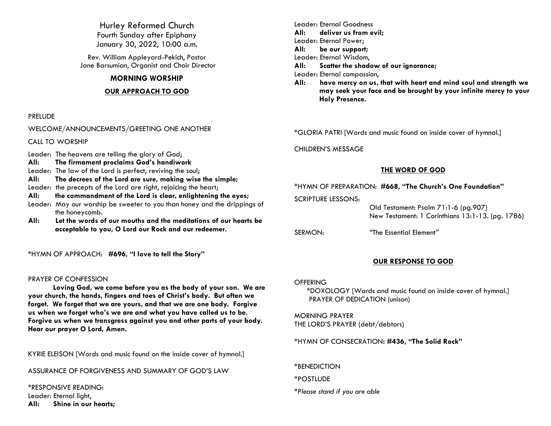Hurley Reformed Church Fourth Sunday after Epiphany January 30, 2022, 10:00 a.m.

Rev. William Appleyard-Pekich, Pastor Jane Barsumian, Organist and Choir Director

## **MORNING WORSHIP**

## **OUR APPROACH TO GOD**

### PRELUDE

WELCOME/ANNOUNCEMENTS/GREETING ONE ANOTHER

CALL TO WORSHIP

Leader: The heavens are telling the glory of God;

**All: The firmament proclaims God's handiwork**

Leader: The law of the Lord is perfect, reviving the soul;

- **All: The decrees of the Lord are sure, making wise the simple;**
- Leader: the precepts of the Lord are right, rejoicing the heart;
- **All: the commandment of the Lord is clear, enlightening the eyes;**
- Leader: May our worship be sweeter to you than honey and the drippings of the honeycomb.
- **All: Let the words of our mouths and the meditations of our hearts be acceptable to you, O Lord our Rock and our redeemer.**

\*HYMN OF APPROACH: **#696, "I love to tell the Story"**

## PRAYER OF CONFESSION

**Loving God, we come before you as the body of your son. We are your church, the hands, fingers and toes of Christ's body. But often we forget. We forget that we are yours, and that we are one body. Forgive us when we forget who's we are and what you have called us to be. Forgive us when we transgress against you and other parts of your body. Hear our prayer O Lord, Amen.**

KYRIE ELEISON [Words and music found on the inside cover of hymnal.]

ASSURANCE OF FORGIVENESS AND SUMMARY OF GOD'S LAW

\*RESPONSIVE READING: Leader: Eternal light, **All: Shine in our hearts;** Leader: Eternal Goodness **All: deliver us from evil;** Leader: Eternal Power; **All: be our support;** Leader: Eternal Wisdom, **All: Scatter the shadow of our ignorance;** Leader: Eternal compassion,

**All: have mercy on us, that with heart and mind soul and strength we may seek your face and be brought by your infinite mercy to your Holy Presence.** 

\*GLORIA PATRI [Words and music found on inside cover of hymnal.]

CHILDREN'S MESSAGE

## **THE WORD OF GOD**

## \*HYMN OF PREPARATION: **#668, "The Church's One Foundation"**

SCRIPTURE LESSONS:

 Old Testament: Psalm 71:1-6 (pg.907) New Testament: 1 Corinthians 13:1-13. (pg. 1786)

SERMON: *"*The Essential Element*"*

## **OUR RESPONSE TO GOD**

## **OFFERING**

\*DOXOLOGY [Words and music found on inside cover of hymnal.] PRAYER OF DEDICATION (unison)

MORNING PRAYER THE LORD'S PRAYER (debt/debtors)

\*HYMN OF CONSECRATION**: #436, "The Solid Rock"**

\*BENEDICTION

\*POSTLUDE

*\*Please stand if you are able*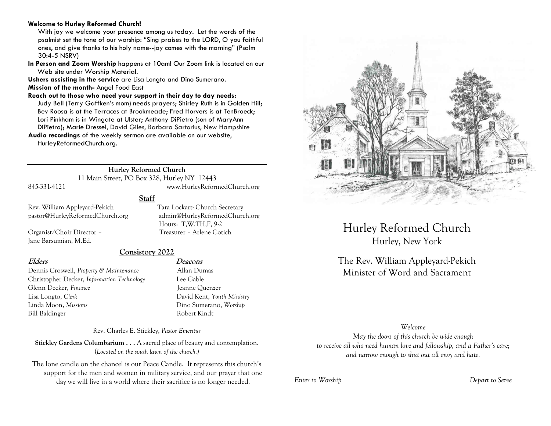#### **Welcome to Hurley Reformed Church!**

With joy we welcome your presence among us today. Let the words of the psalmist set the tone of our worship: "Sing praises to the LORD, O you faithful ones, and give thanks to his holy name--joy comes with the morning" (Psalm 30:4-5 NSRV)

**In Person and Zoom Worship** happens at 10am! Our Zoom link is located on our Web site under Worship Material.

**Ushers assisting in the service** are Lisa Longto and Dino Sumerano. **Mission of the month-** Angel Food East

**Reach out to those who need your support in their day to day needs:**  Judy Bell (Terry Gaffken's mom) needs prayers; Shirley Ruth is in Golden Hill; Bev Roosa is at the Terraces at Brookmeade; Fred Horvers is at TenBroeck; Lori Pinkham is in Wingate at Ulster; Anthony DiPietro (son of MaryAnn DiPietro); Marie Dressel, David Giles, Barbara Sartorius, New Hampshire **Audio recordings** of the weekly sermon are available on our website,

HurleyReformedChurch.org.

**Hurley Reformed Church** 11 Main Street, PO Box 328, Hurley NY 12443

845-331-4121 www.HurleyReformedChurch.org

## **Staff**

Rev. William Appleyard-Pekich Tara Lockart- Church Secretary pastor@HurleyReformedChurch.org admin@HurleyReformedChurch.org

Organist/Choir Director – Treasurer – Arlene Cotich Jane Barsumian, M.Ed.

**Consistory 2022**

Hours: T,W,TH,F, 9-2

Dennis Croswell, *Property & Maintenance* Allan Dumas Christopher Decker, *Information Technology* Lee Gable Glenn Decker, *Finance* Jeanne Ouenzer Lisa Longto, *Clerk* David Kent, *Youth Ministry* Linda Moon, *Missions* Dino Sumerano, *Worship* Bill Baldinger Robert Kindt

## **Elders Deacons**

Rev. Charles E. Stickley, *Pastor Emeritus*

**Stickley Gardens Columbarium . . .** A sacred place of beauty and contemplation. (*Located on the south lawn of the church.)* 

The lone candle on the chancel is our Peace Candle. It represents this church's support for the men and women in military service, and our prayer that one day we will live in a world where their sacrifice is no longer needed.



Hurley Reformed Church Hurley, New York

The Rev. William Appleyard-Pekich Minister of Word and Sacrament

## *Welcome*

*May the doors of this church be wide enough to receive all who need human love and fellowship, and a Father's care; and narrow enough to shut out all envy and hate.*

*Enter to Worship Depart to Serve*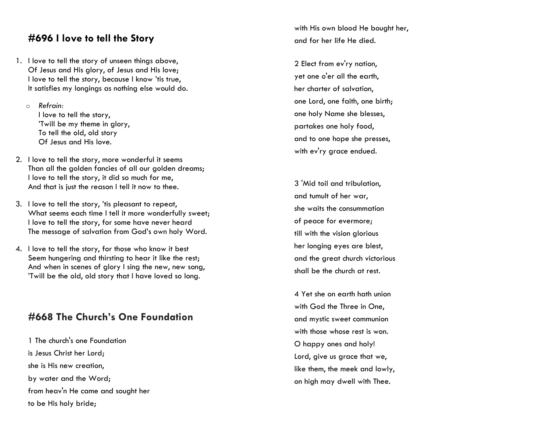# **#696 I love to tell the Story**

- 1. I love to tell the story of unseen things above, Of Jesus and His glory, of Jesus and His love; I love to tell the story, because I know 'tis true, It satisfies my longings as nothing else would do.
	- o *Refrain:* I love to tell the story, 'Twill be my theme in glory, To tell the old, old story Of Jesus and His love.
- 2. I love to tell the story, more wonderful it seems Than all the golden fancies of all our golden dreams; I love to tell the story, it did so much for me, And that is just the reason I tell it now to thee.
- 3. I love to tell the story, 'tis pleasant to repeat, What seems each time I tell it more wonderfully sweet; I love to tell the story, for some have never heard The message of salvation from God's own holy Word.
- 4. I love to tell the story, for those who know it best Seem hungering and thirsting to hear it like the rest; And when in scenes of glory I sing the new, new song, 'Twill be the old, old story that I have loved so long.

# **#668 The Church's One Foundation**

1 The church's one Foundation is Jesus Christ her Lord; she is His new creation, by water and the Word; from heav'n He came and sought her to be His holy bride;

with His own blood He bought her, and for her life He died.

2 Elect from ev'ry nation, yet one o'er all the earth, her charter of salvation, one Lord, one faith, one birth; one holy Name she blesses, partakes one holy food, and to one hope she presses, with ev'ry grace endued.

3 'Mid toil and tribulation, and tumult of her war, she waits the consummation of peace for evermore; till with the vision glorious her longing eyes are blest, and the great church victorious shall be the church at rest.

4 Yet she on earth hath union with God the Three in One, and mystic sweet communion with those whose rest is won. O happy ones and holy! Lord, give us grace that we, like them, the meek and lowly, on high may dwell with Thee.